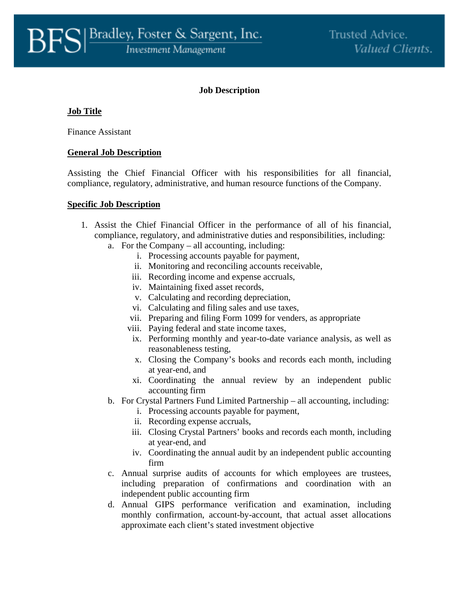## **Job Description**

# **Job Title**

Finance Assistant

### **General Job Description**

Assisting the Chief Financial Officer with his responsibilities for all financial, compliance, regulatory, administrative, and human resource functions of the Company.

#### **Specific Job Description**

- 1. Assist the Chief Financial Officer in the performance of all of his financial, compliance, regulatory, and administrative duties and responsibilities, including:
	- a. For the Company all accounting, including:
		- i. Processing accounts payable for payment,
		- ii. Monitoring and reconciling accounts receivable,
		- iii. Recording income and expense accruals,
		- iv. Maintaining fixed asset records,
		- v. Calculating and recording depreciation,
		- vi. Calculating and filing sales and use taxes,
		- vii. Preparing and filing Form 1099 for venders, as appropriate
		- viii. Paying federal and state income taxes,
		- ix. Performing monthly and year-to-date variance analysis, as well as reasonableness testing,
		- x. Closing the Company's books and records each month, including at year-end, and
		- xi. Coordinating the annual review by an independent public accounting firm
	- b. For Crystal Partners Fund Limited Partnership all accounting, including:
		- i. Processing accounts payable for payment,
		- ii. Recording expense accruals,
		- iii. Closing Crystal Partners' books and records each month, including at year-end, and
		- iv. Coordinating the annual audit by an independent public accounting firm
	- c. Annual surprise audits of accounts for which employees are trustees, including preparation of confirmations and coordination with an independent public accounting firm
	- d. Annual GIPS performance verification and examination, including monthly confirmation, account-by-account, that actual asset allocations approximate each client's stated investment objective